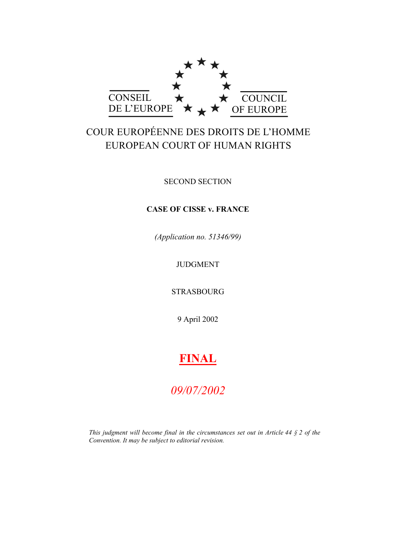

# COUR EUROPÉENNE DES DROITS DE L'HOMME EUROPEAN COURT OF HUMAN RIGHTS

SECOND SECTION

## **CASE OF CISSE v. FRANCE**

*(Application no. 51346/99)*

## JUDGMENT

STRASBOURG

9 April 2002

# **FINAL**

# *09/07/2002*

*This judgment will become final in the circumstances set out in Article 44 § 2 of the Convention. It may be subject to editorial revision.*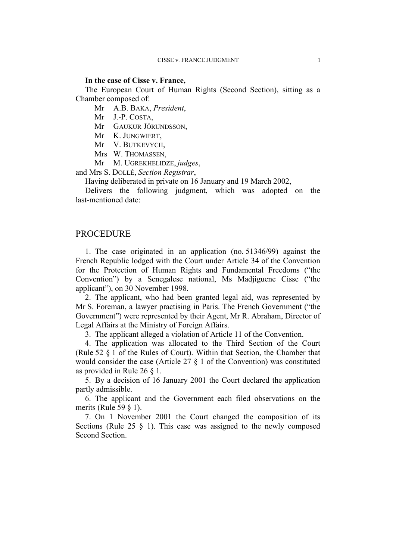## **In the case of Cisse v. France,**

The European Court of Human Rights (Second Section), sitting as a Chamber composed of:

Mr A.B. BAKA, *President*,

Mr J.-P. COSTA,

Mr GAUKUR JÖRUNDSSON,

Mr K. JUNGWIERT,

Mr V. BUTKEVYCH,

Mrs W. THOMASSEN,

Mr M. UGREKHELIDZE, *judges*,

and Mrs S. DOLLÉ, *Section Registrar*,

Having deliberated in private on 16 January and 19 March 2002,

Delivers the following judgment, which was adopted on the last-mentioned date:

## PROCEDURE

1. The case originated in an application (no. 51346/99) against the French Republic lodged with the Court under Article 34 of the Convention for the Protection of Human Rights and Fundamental Freedoms ("the Convention") by a Senegalese national, Ms Madjiguene Cisse ("the applicant"), on 30 November 1998.

2. The applicant, who had been granted legal aid, was represented by Mr S. Foreman, a lawyer practising in Paris. The French Government ("the Government") were represented by their Agent, Mr R. Abraham, Director of Legal Affairs at the Ministry of Foreign Affairs.

3. The applicant alleged a violation of Article 11 of the Convention.

4. The application was allocated to the Third Section of the Court (Rule 52 § 1 of the Rules of Court). Within that Section, the Chamber that would consider the case (Article 27 § 1 of the Convention) was constituted as provided in Rule 26 § 1.

5. By a decision of 16 January 2001 the Court declared the application partly admissible.

6. The applicant and the Government each filed observations on the merits (Rule 59  $\S$  1).

7. On 1 November 2001 the Court changed the composition of its Sections (Rule 25  $\S$  1). This case was assigned to the newly composed Second Section.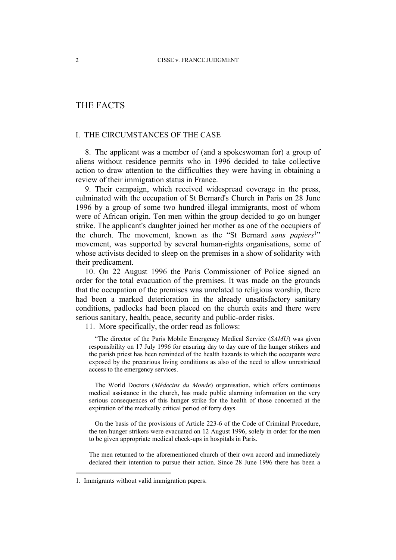## THE FACTS

## I. THE CIRCUMSTANCES OF THE CASE

8. The applicant was a member of (and a spokeswoman for) a group of aliens without residence permits who in 1996 decided to take collective action to draw attention to the difficulties they were having in obtaining a review of their immigration status in France.

9. Their campaign, which received widespread coverage in the press, culminated with the occupation of St Bernard's Church in Paris on 28 June 1996 by a group of some two hundred illegal immigrants, most of whom were of African origin. Ten men within the group decided to go on hunger strike. The applicant's daughter joined her mother as one of the occupiers of the church. The movement, known as the "St Bernard *sans papiers*<sup>1</sup>" movement, was supported by several human-rights organisations, some of whose activists decided to sleep on the premises in a show of solidarity with their predicament.

10. On 22 August 1996 the Paris Commissioner of Police signed an order for the total evacuation of the premises. It was made on the grounds that the occupation of the premises was unrelated to religious worship, there had been a marked deterioration in the already unsatisfactory sanitary conditions, padlocks had been placed on the church exits and there were serious sanitary, health, peace, security and public-order risks.

11. More specifically, the order read as follows:

"The director of the Paris Mobile Emergency Medical Service (*SAMU*) was given responsibility on 17 July 1996 for ensuring day to day care of the hunger strikers and the parish priest has been reminded of the health hazards to which the occupants were exposed by the precarious living conditions as also of the need to allow unrestricted access to the emergency services.

The World Doctors (*Médecins du Monde*) organisation, which offers continuous medical assistance in the church, has made public alarming information on the very serious consequences of this hunger strike for the health of those concerned at the expiration of the medically critical period of forty days.

On the basis of the provisions of Article 223-6 of the Code of Criminal Procedure, the ten hunger strikers were evacuated on 12 August 1996, solely in order for the men to be given appropriate medical check-ups in hospitals in Paris.

The men returned to the aforementioned church of their own accord and immediately declared their intention to pursue their action. Since 28 June 1996 there has been a

<sup>1.</sup> Immigrants without valid immigration papers.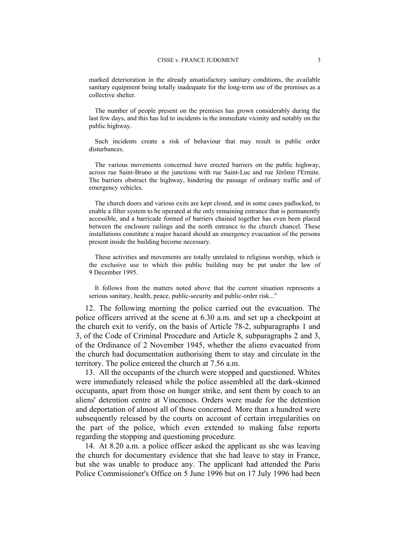marked deterioration in the already unsatisfactory sanitary conditions, the available sanitary equipment being totally inadequate for the long-term use of the premises as a collective shelter.

The number of people present on the premises has grown considerably during the last few days, and this has led to incidents in the immediate vicinity and notably on the public highway.

Such incidents create a risk of behaviour that may result in public order disturbances.

The various movements concerned have erected barriers on the public highway, across rue Saint-Bruno at the junctions with rue Saint-Luc and rue Jérôme l'Ermite. The barriers obstruct the highway, hindering the passage of ordinary traffic and of emergency vehicles.

The church doors and various exits are kept closed, and in some cases padlocked, to enable a filter system to be operated at the only remaining entrance that is permanently accessible, and a barricade formed of barriers chained together has even been placed between the enclosure railings and the north entrance to the church chancel. These installations constitute a major hazard should an emergency evacuation of the persons present inside the building become necessary.

These activities and movements are totally unrelated to religious worship, which is the exclusive use to which this public building may be put under the law of 9 December 1995.

It follows from the matters noted above that the current situation represents a serious sanitary, health, peace, public-security and public-order risk..."

12. The following morning the police carried out the evacuation. The police officers arrived at the scene at 6.30 a.m. and set up a checkpoint at the church exit to verify, on the basis of Article 78-2, subparagraphs 1 and 3, of the Code of Criminal Procedure and Article 8, subparagraphs 2 and 3, of the Ordinance of 2 November 1945, whether the aliens evacuated from the church had documentation authorising them to stay and circulate in the territory. The police entered the church at 7.56 a.m.

13. All the occupants of the church were stopped and questioned. Whites were immediately released while the police assembled all the dark-skinned occupants, apart from those on hunger strike, and sent them by coach to an aliens' detention centre at Vincennes. Orders were made for the detention and deportation of almost all of those concerned. More than a hundred were subsequently released by the courts on account of certain irregularities on the part of the police, which even extended to making false reports regarding the stopping and questioning procedure.

14. At 8.20 a.m. a police officer asked the applicant as she was leaving the church for documentary evidence that she had leave to stay in France, but she was unable to produce any. The applicant had attended the Paris Police Commissioner's Office on 5 June 1996 but on 17 July 1996 had been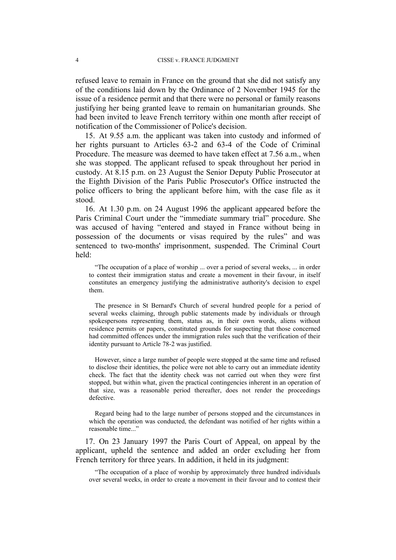refused leave to remain in France on the ground that she did not satisfy any of the conditions laid down by the Ordinance of 2 November 1945 for the issue of a residence permit and that there were no personal or family reasons justifying her being granted leave to remain on humanitarian grounds. She had been invited to leave French territory within one month after receipt of notification of the Commissioner of Police's decision.

15. At 9.55 a.m. the applicant was taken into custody and informed of her rights pursuant to Articles 63-2 and 63-4 of the Code of Criminal Procedure. The measure was deemed to have taken effect at 7.56 a.m., when she was stopped. The applicant refused to speak throughout her period in custody. At 8.15 p.m. on 23 August the Senior Deputy Public Prosecutor at the Eighth Division of the Paris Public Prosecutor's Office instructed the police officers to bring the applicant before him, with the case file as it stood.

16. At 1.30 p.m. on 24 August 1996 the applicant appeared before the Paris Criminal Court under the "immediate summary trial" procedure. She was accused of having "entered and stayed in France without being in possession of the documents or visas required by the rules" and was sentenced to two-months' imprisonment, suspended. The Criminal Court held:

"The occupation of a place of worship ... over a period of several weeks, ... in order to contest their immigration status and create a movement in their favour, in itself constitutes an emergency justifying the administrative authority's decision to expel them.

The presence in St Bernard's Church of several hundred people for a period of several weeks claiming, through public statements made by individuals or through spokespersons representing them, status as, in their own words, aliens without residence permits or papers, constituted grounds for suspecting that those concerned had committed offences under the immigration rules such that the verification of their identity pursuant to Article 78-2 was justified.

However, since a large number of people were stopped at the same time and refused to disclose their identities, the police were not able to carry out an immediate identity check. The fact that the identity check was not carried out when they were first stopped, but within what, given the practical contingencies inherent in an operation of that size, was a reasonable period thereafter, does not render the proceedings defective.

Regard being had to the large number of persons stopped and the circumstances in which the operation was conducted, the defendant was notified of her rights within a reasonable time..."

17. On 23 January 1997 the Paris Court of Appeal, on appeal by the applicant, upheld the sentence and added an order excluding her from French territory for three years. In addition, it held in its judgment:

"The occupation of a place of worship by approximately three hundred individuals over several weeks, in order to create a movement in their favour and to contest their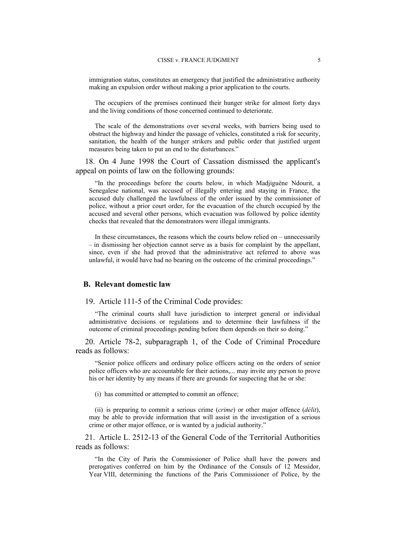immigration status, constitutes an emergency that justified the administrative authority making an expulsion order without making a prior application to the courts.

The occupiers of the premises continued their hunger strike for almost forty days and the living conditions of those concerned continued to deteriorate.

The scale of the demonstrations over several weeks, with barriers being used to obstruct the highway and hinder the passage of vehicles, constituted a risk for security, sanitation, the health of the hunger strikers and public order that justified urgent measures being taken to put an end to the disturbances."

18. On 4 June 1998 the Court of Cassation dismissed the applicant's appeal on points of law on the following grounds:

"In the proceedings before the courts below, in which Madjiguène Ndourit, a Senegalese national, was accused of illegally entering and staying in France, the accused duly challenged the lawfulness of the order issued by the commissioner of police, without a prior court order, for the evacuation of the church occupied by the accused and several other persons, which evacuation was followed by police identity checks that revealed that the demonstrators were illegal immigrants.

In these circumstances, the reasons which the courts below relied on – unnecessarily – in dismissing her objection cannot serve as a basis for complaint by the appellant, since, even if she had proved that the administrative act referred to above was unlawful, it would have had no bearing on the outcome of the criminal proceedings."

### **B. Relevant domestic law**

19. Article 111-5 of the Criminal Code provides:

"The criminal courts shall have jurisdiction to interpret general or individual administrative decisions or regulations and to determine their lawfulness if the outcome of criminal proceedings pending before them depends on their so doing."

20. Article 78-2, subparagraph 1, of the Code of Criminal Procedure reads as follows:

"Senior police officers and ordinary police officers acting on the orders of senior police officers who are accountable for their actions,... may invite any person to prove his or her identity by any means if there are grounds for suspecting that he or she:

(i) has committed or attempted to commit an offence;

(ii) is preparing to commit a serious crime (*crime*) or other major offence (*délit*), may be able to provide information that will assist in the investigation of a serious crime or other major offence, or is wanted by a judicial authority."

21. Article L. 2512-13 of the General Code of the Territorial Authorities reads as follows:

"In the City of Paris the Commissioner of Police shall have the powers and prerogatives conferred on him by the Ordinance of the Consuls of 12 Messidor, Year VIII, determining the functions of the Paris Commissioner of Police, by the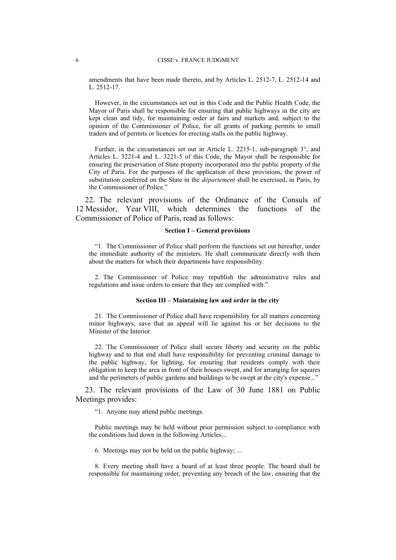amendments that have been made thereto, and by Articles L. 2512-7, L. 2512-14 and L. 2512-17.

However, in the circumstances set out in this Code and the Public Health Code, the Mayor of Paris shall be responsible for ensuring that public highways in the city are kept clean and tidy, for maintaining order at fairs and markets and, subject to the opinion of the Commissioner of Police, for all grants of parking permits to small traders and of permits or licences for erecting stalls on the public highway.

Further, in the circumstances set out in Article L. 2215-1, sub-paragraph 3°, and Articles L. 3221-4 and L. 3221-5 of this Code, the Mayor shall be responsible for ensuring the preservation of State property incorporated into the public property of the City of Paris. For the purposes of the application of these provisions, the power of substitution conferred on the State in the *département* shall be exercised, in Paris, by the Commissioner of Police."

22. The relevant provisions of the Ordinance of the Consuls of 12 Messidor, Year VIII, which determines the functions of the Commissioner of Police of Paris, read as follows:

#### **Section I – General provisions**

"1. The Commissioner of Police shall perform the functions set out hereafter, under the immediate authority of the ministers. He shall communicate directly with them about the matters for which their departments have responsibility.

2. The Commissioner of Police may republish the administrative rules and regulations and issue orders to ensure that they are complied with."

#### **Section III – Maintaining law and order in the city**

21. The Commissioner of Police shall have responsibility for all matters concerning minor highways, save that an appeal will lie against his or her decisions to the Minister of the Interior.

22. The Commissioner of Police shall secure liberty and security on the public highway and to that end shall have responsibility for preventing criminal damage to the public highway, for lighting, for ensuring that residents comply with their obligation to keep the area in front of their houses swept, and for arranging for squares and the perimeters of public gardens and buildings to be swept at the city's expense..."

23. The relevant provisions of the Law of 30 June 1881 on Public Meetings provides:

"1. Anyone may attend public meetings.

Public meetings may be held without prior permission subject to compliance with the conditions laid down in the following Articles...

6. Meetings may not be held on the public highway; ...

8. Every meeting shall have a board of at least three people. The board shall be responsible for maintaining order, preventing any breach of the law, ensuring that the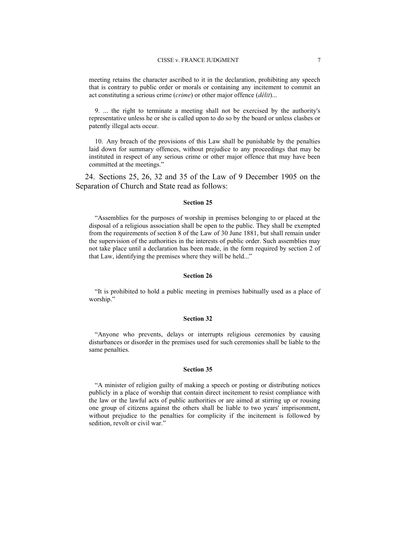#### CISSE v. FRANCE JUDGMENT 7

meeting retains the character ascribed to it in the declaration, prohibiting any speech that is contrary to public order or morals or containing any incitement to commit an act constituting a serious crime (*crime*) or other major offence (*délit*)...

9. ... the right to terminate a meeting shall not be exercised by the authority's representative unless he or she is called upon to do so by the board or unless clashes or patently illegal acts occur.

10. Any breach of the provisions of this Law shall be punishable by the penalties laid down for summary offences, without prejudice to any proceedings that may be instituted in respect of any serious crime or other major offence that may have been committed at the meetings."

24. Sections 25, 26, 32 and 35 of the Law of 9 December 1905 on the Separation of Church and State read as follows:

#### **Section 25**

"Assemblies for the purposes of worship in premises belonging to or placed at the disposal of a religious association shall be open to the public. They shall be exempted from the requirements of section 8 of the Law of 30 June 1881, but shall remain under the supervision of the authorities in the interests of public order. Such assemblies may not take place until a declaration has been made, in the form required by section 2 of that Law, identifying the premises where they will be held..."

#### **Section 26**

"It is prohibited to hold a public meeting in premises habitually used as a place of worship."

#### **Section 32**

"Anyone who prevents, delays or interrupts religious ceremonies by causing disturbances or disorder in the premises used for such ceremonies shall be liable to the same penalties.

#### **Section 35**

"A minister of religion guilty of making a speech or posting or distributing notices publicly in a place of worship that contain direct incitement to resist compliance with the law or the lawful acts of public authorities or are aimed at stirring up or rousing one group of citizens against the others shall be liable to two years' imprisonment, without prejudice to the penalties for complicity if the incitement is followed by sedition, revolt or civil war."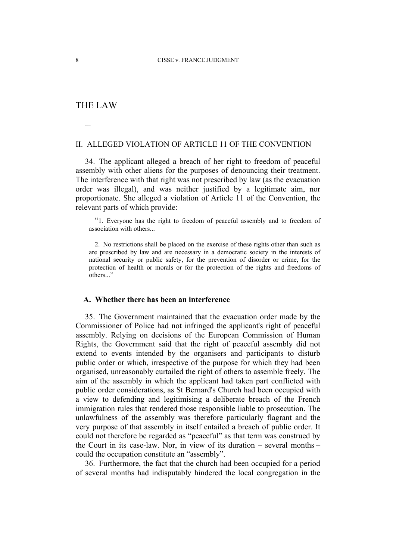## THE LAW

...

## II. ALLEGED VIOLATION OF ARTICLE 11 OF THE CONVENTION

34. The applicant alleged a breach of her right to freedom of peaceful assembly with other aliens for the purposes of denouncing their treatment. The interference with that right was not prescribed by law (as the evacuation order was illegal), and was neither justified by a legitimate aim, nor proportionate. She alleged a violation of Article 11 of the Convention, the relevant parts of which provide:

"1. Everyone has the right to freedom of peaceful assembly and to freedom of association with others...

2. No restrictions shall be placed on the exercise of these rights other than such as are prescribed by law and are necessary in a democratic society in the interests of national security or public safety, for the prevention of disorder or crime, for the protection of health or morals or for the protection of the rights and freedoms of others..."

### **A. Whether there has been an interference**

35. The Government maintained that the evacuation order made by the Commissioner of Police had not infringed the applicant's right of peaceful assembly. Relying on decisions of the European Commission of Human Rights, the Government said that the right of peaceful assembly did not extend to events intended by the organisers and participants to disturb public order or which, irrespective of the purpose for which they had been organised, unreasonably curtailed the right of others to assemble freely. The aim of the assembly in which the applicant had taken part conflicted with public order considerations, as St Bernard's Church had been occupied with a view to defending and legitimising a deliberate breach of the French immigration rules that rendered those responsible liable to prosecution. The unlawfulness of the assembly was therefore particularly flagrant and the very purpose of that assembly in itself entailed a breach of public order. It could not therefore be regarded as "peaceful" as that term was construed by the Court in its case-law. Nor, in view of its duration – several months – could the occupation constitute an "assembly".

36. Furthermore, the fact that the church had been occupied for a period of several months had indisputably hindered the local congregation in the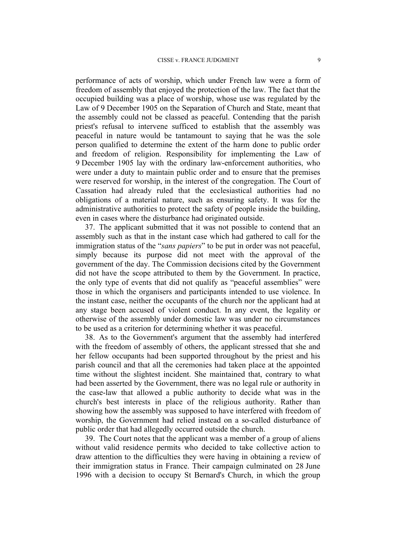performance of acts of worship, which under French law were a form of freedom of assembly that enjoyed the protection of the law. The fact that the occupied building was a place of worship, whose use was regulated by the Law of 9 December 1905 on the Separation of Church and State, meant that the assembly could not be classed as peaceful. Contending that the parish priest's refusal to intervene sufficed to establish that the assembly was peaceful in nature would be tantamount to saying that he was the sole person qualified to determine the extent of the harm done to public order and freedom of religion. Responsibility for implementing the Law of 9 December 1905 lay with the ordinary law-enforcement authorities, who were under a duty to maintain public order and to ensure that the premises were reserved for worship, in the interest of the congregation. The Court of Cassation had already ruled that the ecclesiastical authorities had no obligations of a material nature, such as ensuring safety. It was for the administrative authorities to protect the safety of people inside the building, even in cases where the disturbance had originated outside.

37. The applicant submitted that it was not possible to contend that an assembly such as that in the instant case which had gathered to call for the immigration status of the "*sans papiers*" to be put in order was not peaceful, simply because its purpose did not meet with the approval of the government of the day. The Commission decisions cited by the Government did not have the scope attributed to them by the Government. In practice, the only type of events that did not qualify as "peaceful assemblies" were those in which the organisers and participants intended to use violence. In the instant case, neither the occupants of the church nor the applicant had at any stage been accused of violent conduct. In any event, the legality or otherwise of the assembly under domestic law was under no circumstances to be used as a criterion for determining whether it was peaceful.

38. As to the Government's argument that the assembly had interfered with the freedom of assembly of others, the applicant stressed that she and her fellow occupants had been supported throughout by the priest and his parish council and that all the ceremonies had taken place at the appointed time without the slightest incident. She maintained that, contrary to what had been asserted by the Government, there was no legal rule or authority in the case-law that allowed a public authority to decide what was in the church's best interests in place of the religious authority. Rather than showing how the assembly was supposed to have interfered with freedom of worship, the Government had relied instead on a so-called disturbance of public order that had allegedly occurred outside the church.

39. The Court notes that the applicant was a member of a group of aliens without valid residence permits who decided to take collective action to draw attention to the difficulties they were having in obtaining a review of their immigration status in France. Their campaign culminated on 28 June 1996 with a decision to occupy St Bernard's Church, in which the group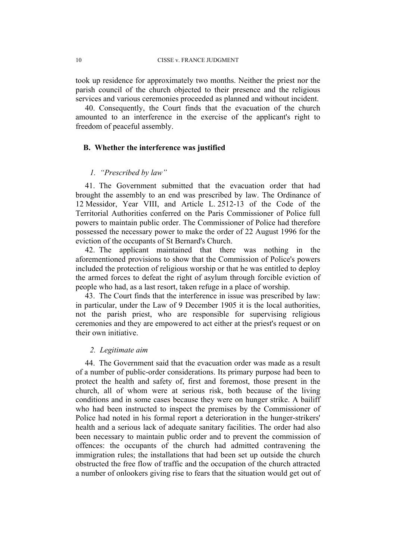took up residence for approximately two months. Neither the priest nor the parish council of the church objected to their presence and the religious services and various ceremonies proceeded as planned and without incident.

40. Consequently, the Court finds that the evacuation of the church amounted to an interference in the exercise of the applicant's right to freedom of peaceful assembly.

#### **B. Whether the interference was justified**

## *1. "Prescribed by law"*

41. The Government submitted that the evacuation order that had brought the assembly to an end was prescribed by law. The Ordinance of 12 Messidor, Year VIII, and Article L. 2512-13 of the Code of the Territorial Authorities conferred on the Paris Commissioner of Police full powers to maintain public order. The Commissioner of Police had therefore possessed the necessary power to make the order of 22 August 1996 for the eviction of the occupants of St Bernard's Church.

42. The applicant maintained that there was nothing in the aforementioned provisions to show that the Commission of Police's powers included the protection of religious worship or that he was entitled to deploy the armed forces to defeat the right of asylum through forcible eviction of people who had, as a last resort, taken refuge in a place of worship.

43. The Court finds that the interference in issue was prescribed by law: in particular, under the Law of 9 December 1905 it is the local authorities, not the parish priest, who are responsible for supervising religious ceremonies and they are empowered to act either at the priest's request or on their own initiative.

### *2. Legitimate aim*

44. The Government said that the evacuation order was made as a result of a number of public-order considerations. Its primary purpose had been to protect the health and safety of, first and foremost, those present in the church, all of whom were at serious risk, both because of the living conditions and in some cases because they were on hunger strike. A bailiff who had been instructed to inspect the premises by the Commissioner of Police had noted in his formal report a deterioration in the hunger-strikers' health and a serious lack of adequate sanitary facilities. The order had also been necessary to maintain public order and to prevent the commission of offences: the occupants of the church had admitted contravening the immigration rules; the installations that had been set up outside the church obstructed the free flow of traffic and the occupation of the church attracted a number of onlookers giving rise to fears that the situation would get out of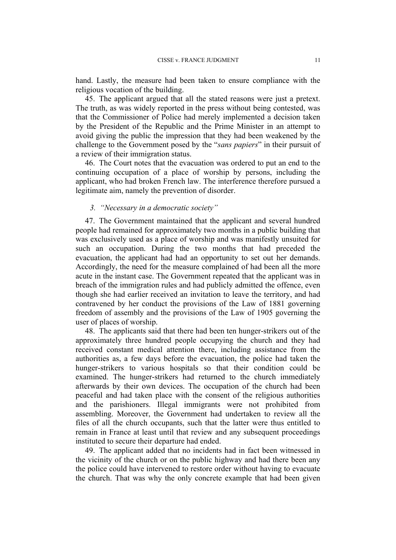hand. Lastly, the measure had been taken to ensure compliance with the religious vocation of the building.

45. The applicant argued that all the stated reasons were just a pretext. The truth, as was widely reported in the press without being contested, was that the Commissioner of Police had merely implemented a decision taken by the President of the Republic and the Prime Minister in an attempt to avoid giving the public the impression that they had been weakened by the challenge to the Government posed by the "*sans papiers*" in their pursuit of a review of their immigration status.

46. The Court notes that the evacuation was ordered to put an end to the continuing occupation of a place of worship by persons, including the applicant, who had broken French law. The interference therefore pursued a legitimate aim, namely the prevention of disorder.

## *3. "Necessary in a democratic society"*

47. The Government maintained that the applicant and several hundred people had remained for approximately two months in a public building that was exclusively used as a place of worship and was manifestly unsuited for such an occupation. During the two months that had preceded the evacuation, the applicant had had an opportunity to set out her demands. Accordingly, the need for the measure complained of had been all the more acute in the instant case. The Government repeated that the applicant was in breach of the immigration rules and had publicly admitted the offence, even though she had earlier received an invitation to leave the territory, and had contravened by her conduct the provisions of the Law of 1881 governing freedom of assembly and the provisions of the Law of 1905 governing the user of places of worship.

48. The applicants said that there had been ten hunger-strikers out of the approximately three hundred people occupying the church and they had received constant medical attention there, including assistance from the authorities as, a few days before the evacuation, the police had taken the hunger-strikers to various hospitals so that their condition could be examined. The hunger-strikers had returned to the church immediately afterwards by their own devices. The occupation of the church had been peaceful and had taken place with the consent of the religious authorities and the parishioners. Illegal immigrants were not prohibited from assembling. Moreover, the Government had undertaken to review all the files of all the church occupants, such that the latter were thus entitled to remain in France at least until that review and any subsequent proceedings instituted to secure their departure had ended.

49. The applicant added that no incidents had in fact been witnessed in the vicinity of the church or on the public highway and had there been any the police could have intervened to restore order without having to evacuate the church. That was why the only concrete example that had been given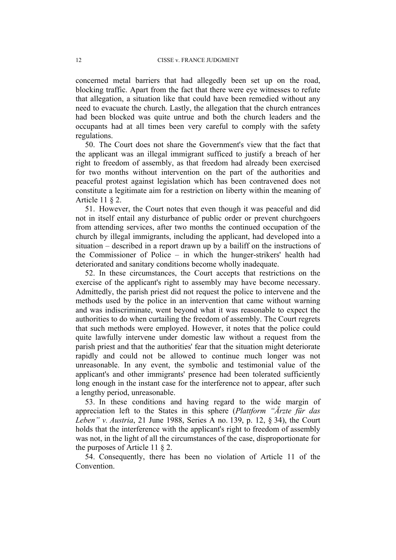concerned metal barriers that had allegedly been set up on the road, blocking traffic. Apart from the fact that there were eye witnesses to refute that allegation, a situation like that could have been remedied without any need to evacuate the church. Lastly, the allegation that the church entrances had been blocked was quite untrue and both the church leaders and the occupants had at all times been very careful to comply with the safety regulations.

50. The Court does not share the Government's view that the fact that the applicant was an illegal immigrant sufficed to justify a breach of her right to freedom of assembly, as that freedom had already been exercised for two months without intervention on the part of the authorities and peaceful protest against legislation which has been contravened does not constitute a legitimate aim for a restriction on liberty within the meaning of Article 11 § 2.

51. However, the Court notes that even though it was peaceful and did not in itself entail any disturbance of public order or prevent churchgoers from attending services, after two months the continued occupation of the church by illegal immigrants, including the applicant, had developed into a situation – described in a report drawn up by a bailiff on the instructions of the Commissioner of Police – in which the hunger-strikers' health had deteriorated and sanitary conditions become wholly inadequate.

52. In these circumstances, the Court accepts that restrictions on the exercise of the applicant's right to assembly may have become necessary. Admittedly, the parish priest did not request the police to intervene and the methods used by the police in an intervention that came without warning and was indiscriminate, went beyond what it was reasonable to expect the authorities to do when curtailing the freedom of assembly. The Court regrets that such methods were employed. However, it notes that the police could quite lawfully intervene under domestic law without a request from the parish priest and that the authorities' fear that the situation might deteriorate rapidly and could not be allowed to continue much longer was not unreasonable. In any event, the symbolic and testimonial value of the applicant's and other immigrants' presence had been tolerated sufficiently long enough in the instant case for the interference not to appear, after such a lengthy period, unreasonable.

53. In these conditions and having regard to the wide margin of appreciation left to the States in this sphere (*Plattform "Ärzte für das Leben" v. Austria*, 21 June 1988, Series A no. 139, p. 12, § 34), the Court holds that the interference with the applicant's right to freedom of assembly was not, in the light of all the circumstances of the case, disproportionate for the purposes of Article 11 § 2.

54. Consequently, there has been no violation of Article 11 of the Convention.